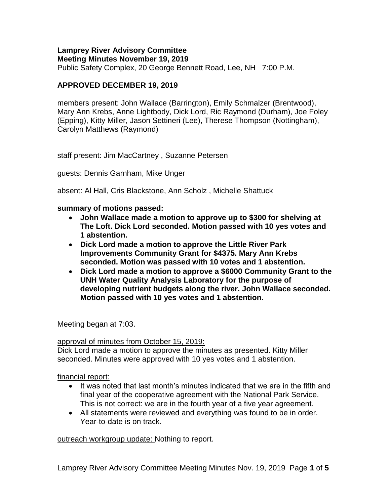## **Lamprey River Advisory Committee Meeting Minutes November 19, 2019**

Public Safety Complex, 20 George Bennett Road, Lee, NH 7:00 P.M.

# **APPROVED DECEMBER 19, 2019**

members present: John Wallace (Barrington), Emily Schmalzer (Brentwood), Mary Ann Krebs, Anne Lightbody, Dick Lord, Ric Raymond (Durham), Joe Foley (Epping), Kitty Miller, Jason Settineri (Lee), Therese Thompson (Nottingham), Carolyn Matthews (Raymond)

staff present: Jim MacCartney , Suzanne Petersen

guests: Dennis Garnham, Mike Unger

absent: Al Hall, Cris Blackstone, Ann Scholz , Michelle Shattuck

**summary of motions passed:**

- **John Wallace made a motion to approve up to \$300 for shelving at The Loft. Dick Lord seconded. Motion passed with 10 yes votes and 1 abstention.**
- **Dick Lord made a motion to approve the Little River Park Improvements Community Grant for \$4375. Mary Ann Krebs seconded. Motion was passed with 10 votes and 1 abstention.**
- **Dick Lord made a motion to approve a \$6000 Community Grant to the UNH Water Quality Analysis Laboratory for the purpose of developing nutrient budgets along the river. John Wallace seconded. Motion passed with 10 yes votes and 1 abstention.**

Meeting began at 7:03.

### approval of minutes from October 15, 2019:

Dick Lord made a motion to approve the minutes as presented. Kitty Miller seconded. Minutes were approved with 10 yes votes and 1 abstention.

financial report:

- It was noted that last month's minutes indicated that we are in the fifth and final year of the cooperative agreement with the National Park Service. This is not correct: we are in the fourth year of a five year agreement.
- All statements were reviewed and everything was found to be in order. Year-to-date is on track.

outreach workgroup update: Nothing to report.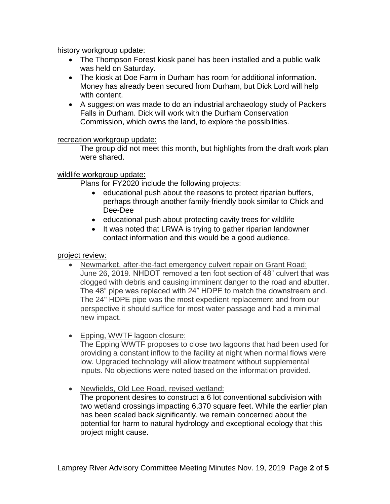history workgroup update:

- The Thompson Forest kiosk panel has been installed and a public walk was held on Saturday.
- The kiosk at Doe Farm in Durham has room for additional information. Money has already been secured from Durham, but Dick Lord will help with content.
- A suggestion was made to do an industrial archaeology study of Packers Falls in Durham. Dick will work with the Durham Conservation Commission, which owns the land, to explore the possibilities.

## recreation workgroup update:

The group did not meet this month, but highlights from the draft work plan were shared.

# wildlife workgroup update:

Plans for FY2020 include the following projects:

- educational push about the reasons to protect riparian buffers, perhaps through another family-friendly book similar to Chick and Dee-Dee
- educational push about protecting cavity trees for wildlife
- It was noted that LRWA is trying to gather riparian landowner contact information and this would be a good audience.

## project review:

- Newmarket, after-the-fact emergency culvert repair on Grant Road: June 26, 2019. NHDOT removed a ten foot section of 48" culvert that was clogged with debris and causing imminent danger to the road and abutter. The 48" pipe was replaced with 24" HDPE to match the downstream end. The 24" HDPE pipe was the most expedient replacement and from our perspective it should suffice for most water passage and had a minimal new impact.
- Epping, WWTF lagoon closure:

The Epping WWTF proposes to close two lagoons that had been used for providing a constant inflow to the facility at night when normal flows were low. Upgraded technology will allow treatment without supplemental inputs. No objections were noted based on the information provided.

Newfields, Old Lee Road, revised wetland:

The proponent desires to construct a 6 lot conventional subdivision with two wetland crossings impacting 6,370 square feet. While the earlier plan has been scaled back significantly, we remain concerned about the potential for harm to natural hydrology and exceptional ecology that this project might cause.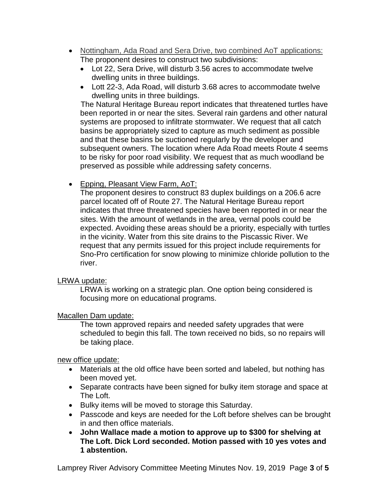- Nottingham, Ada Road and Sera Drive, two combined AoT applications: The proponent desires to construct two subdivisions:
	- Lot 22, Sera Drive, will disturb 3.56 acres to accommodate twelve dwelling units in three buildings.
	- Lott 22-3, Ada Road, will disturb 3.68 acres to accommodate twelve dwelling units in three buildings.

 The Natural Heritage Bureau report indicates that threatened turtles have been reported in or near the sites. Several rain gardens and other natural systems are proposed to infiltrate stormwater. We request that all catch basins be appropriately sized to capture as much sediment as possible and that these basins be suctioned regularly by the developer and subsequent owners. The location where Ada Road meets Route 4 seems to be risky for poor road visibility. We request that as much woodland be preserved as possible while addressing safety concerns.

• Epping, Pleasant View Farm, AoT:

The proponent desires to construct 83 duplex buildings on a 206.6 acre parcel located off of Route 27. The Natural Heritage Bureau report indicates that three threatened species have been reported in or near the sites. With the amount of wetlands in the area, vernal pools could be expected. Avoiding these areas should be a priority, especially with turtles in the vicinity. Water from this site drains to the Piscassic River. We request that any permits issued for this project include requirements for Sno-Pro certification for snow plowing to minimize chloride pollution to the river.

### LRWA update:

LRWA is working on a strategic plan. One option being considered is focusing more on educational programs.

### Macallen Dam update:

The town approved repairs and needed safety upgrades that were scheduled to begin this fall. The town received no bids, so no repairs will be taking place.

new office update:

- Materials at the old office have been sorted and labeled, but nothing has been moved yet.
- Separate contracts have been signed for bulky item storage and space at The Loft.
- Bulky items will be moved to storage this Saturday.
- Passcode and keys are needed for the Loft before shelves can be brought in and then office materials.
- **John Wallace made a motion to approve up to \$300 for shelving at The Loft. Dick Lord seconded. Motion passed with 10 yes votes and 1 abstention.**

Lamprey River Advisory Committee Meeting Minutes Nov. 19, 2019 Page **3** of **5**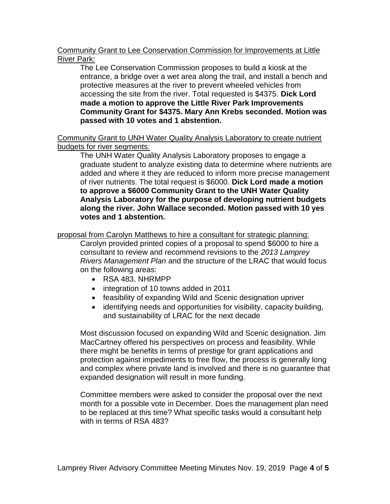## Community Grant to Lee Conservation Commission for Improvements at Little River Park:

The Lee Conservation Commission proposes to build a kiosk at the entrance, a bridge over a wet area along the trail, and install a bench and protective measures at the river to prevent wheeled vehicles from accessing the site from the river. Total requested is \$4375. **Dick Lord made a motion to approve the Little River Park Improvements Community Grant for \$4375. Mary Ann Krebs seconded. Motion was passed with 10 votes and 1 abstention.** 

Community Grant to UNH Water Quality Analysis Laboratory to create nutrient budgets for river segments:

The UNH Water Quality Analysis Laboratory proposes to engage a graduate student to analyze existing data to determine where nutrients are added and where it they are reduced to inform more precise management of river nutrients. The total request is \$6000. **Dick Lord made a motion to approve a \$6000 Community Grant to the UNH Water Quality Analysis Laboratory for the purpose of developing nutrient budgets along the river. John Wallace seconded. Motion passed with 10 yes votes and 1 abstention.** 

proposal from Carolyn Matthews to hire a consultant for strategic planning:

Carolyn provided printed copies of a proposal to spend \$6000 to hire a consultant to review and recommend revisions to the *2013 Lamprey Rivers Management Plan* and the structure of the LRAC that would focus on the following areas:

- RSA 483, NHRMPP
- integration of 10 towns added in 2011
- feasibility of expanding Wild and Scenic designation upriver
- identifying needs and opportunities for visibility, capacity building, and sustainability of LRAC for the next decade

Most discussion focused on expanding Wild and Scenic designation. Jim MacCartney offered his perspectives on process and feasibility. While there might be benefits in terms of prestige for grant applications and protection against impediments to free flow, the process is generally long and complex where private land is involved and there is no guarantee that expanded designation will result in more funding.

Committee members were asked to consider the proposal over the next month for a possible vote in December. Does the management plan need to be replaced at this time? What specific tasks would a consultant help with in terms of RSA 483?